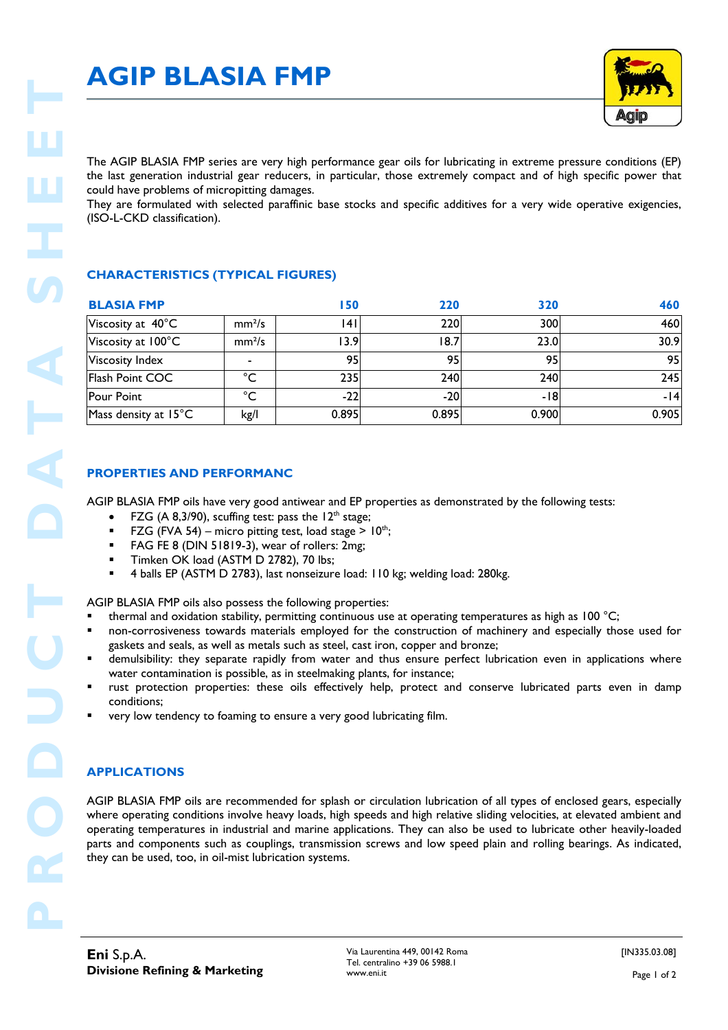

### **CHARACTERISTICS (TYPICAL FIGURES)**

|                                                                                                                                                                                                                                                                                                                                                                                                                                                                                       |                    |           |                                                                                                                                                                                              |            | <b>Agip</b> |
|---------------------------------------------------------------------------------------------------------------------------------------------------------------------------------------------------------------------------------------------------------------------------------------------------------------------------------------------------------------------------------------------------------------------------------------------------------------------------------------|--------------------|-----------|----------------------------------------------------------------------------------------------------------------------------------------------------------------------------------------------|------------|-------------|
| The AGIP BLASIA FMP series are very high performance gear oils for lubricating in extreme pressure conditions (EP)<br>the last generation industrial gear reducers, in particular, those extremely compact and of high specific power that<br>could have problems of micropitting damages.<br>They are formulated with selected paraffinic base stocks and specific additives for a very wide operative exigencies,<br>(ISO-L-CKD classification).                                    |                    |           |                                                                                                                                                                                              |            |             |
| <b>CHARACTERISTICS (TYPICAL FIGURES)</b>                                                                                                                                                                                                                                                                                                                                                                                                                                              |                    |           |                                                                                                                                                                                              |            |             |
| <b>BLASIA FMP</b><br>Viscosity at 40°C                                                                                                                                                                                                                                                                                                                                                                                                                                                | mm <sup>2</sup> /s | 150<br> 4 | 220<br>220                                                                                                                                                                                   | 320<br>300 | 460         |
| Viscosity at 100°C                                                                                                                                                                                                                                                                                                                                                                                                                                                                    | mm <sup>2</sup> /s | 13.9      | 18.7                                                                                                                                                                                         | 23.0       | 460<br>30.9 |
| Viscosity Index                                                                                                                                                                                                                                                                                                                                                                                                                                                                       |                    | 95        | 95                                                                                                                                                                                           | 95         |             |
| Flash Point COC                                                                                                                                                                                                                                                                                                                                                                                                                                                                       | $^{\circ}C$        | 235       | 240                                                                                                                                                                                          | 240        | 245         |
| Pour Point                                                                                                                                                                                                                                                                                                                                                                                                                                                                            | $^{\circ}C$        | $-22$     | $-20$                                                                                                                                                                                        | $-18$      |             |
| Mass density at 15°C                                                                                                                                                                                                                                                                                                                                                                                                                                                                  | kg/l               | 0.895     | 0.895                                                                                                                                                                                        | 0.900      | 0.905       |
| Timken OK load (ASTM D 2782), 70 lbs;<br>٠<br>AGIP BLASIA FMP oils also possess the following properties:<br>thermal and oxidation stability, permitting continuous use at operating temperatures as high as 100 °C;                                                                                                                                                                                                                                                                  |                    |           | 4 balls EP (ASTM D 2783), last nonseizure load: 110 kg; welding load: 280kg.<br>non-corrosiveness towards materials employed for the construction of machinery and especially those used for |            |             |
| gaskets and seals, as well as metals such as steel, cast iron, copper and bronze;<br>demulsibility: they separate rapidly from water and thus ensure perfect lubrication even in applications where<br>water contamination is possible, as in steelmaking plants, for instance;<br>rust protection properties: these oils effectively help, protect and conserve lubricated parts even in damp<br>conditions;<br>very low tendency to foaming to ensure a very good lubricating film. |                    |           |                                                                                                                                                                                              |            |             |

#### **PROPERTIES AND PERFORMANC**

- FZG (A 8,3/90), scuffing test: pass the  $12<sup>th</sup>$  stage;
- FZG (FVA 54) micro pitting test, load stage  $> 10<sup>th</sup>$ ;
- FAG FE 8 (DIN 51819-3), wear of rollers: 2mg;
- Timken OK load (ASTM D 2782), 70 lbs;
- 4 balls EP (ASTM D 2783), last nonseizure load: 110 kg; welding load: 280kg.

- thermal and oxidation stability, permitting continuous use at operating temperatures as high as 100 °C;
- non-corrosiveness towards materials employed for the construction of machinery and especially those used for gaskets and seals, as well as metals such as steel, cast iron, copper and bronze;
- demulsibility: they separate rapidly from water and thus ensure perfect lubrication even in applications where water contamination is possible, as in steelmaking plants, for instance;
- rust protection properties: these oils effectively help, protect and conserve lubricated parts even in damp conditions;
- very low tendency to foaming to ensure a very good lubricating film.

### **APPLICATIONS**